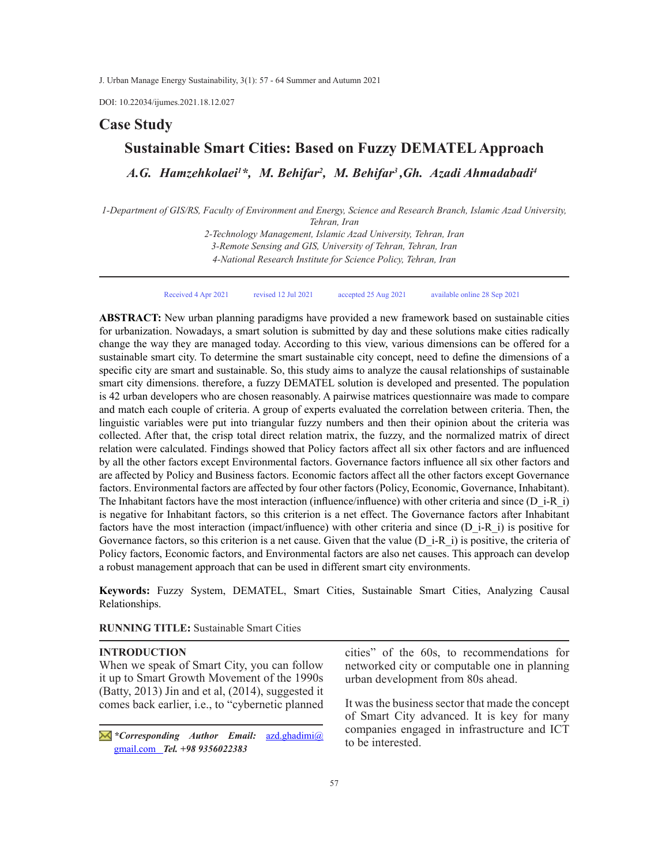DOI: 10.22034/ijumes.2021.18.12.027

## **Case Study**

# **Sustainable Smart Cities: Based on Fuzzy DEMATEL Approach**

*A.G. Hamzehkolaei<sup>1</sup> \*, M. Behifar<sup>2</sup> , M. Behifar<sup>3</sup> ,Gh. Azadi Ahmadabadi4*

*1-Department of GIS/RS, Faculty of Environment and Energy, Science and Research Branch, Islamic Azad University, Tehran, Iran* 

> *2-Technology Management, Islamic Azad University, Tehran, Iran 3-Remote Sensing and GIS, University of Tehran, Tehran, Iran 4-National Research Institute for Science Policy, Tehran, Iran*

Received 4 Apr 2021 revised 12 Jul 2021 accepted 25 Aug 2021 available online 28 Sep 2021

**ABSTRACT:** New urban planning paradigms have provided a new framework based on sustainable cities for urbanization. Nowadays, a smart solution is submitted by day and these solutions make cities radically change the way they are managed today. According to this view, various dimensions can be offered for a sustainable smart city. To determine the smart sustainable city concept, need to define the dimensions of a specific city are smart and sustainable. So, this study aims to analyze the causal relationships of sustainable smart city dimensions. therefore, a fuzzy DEMATEL solution is developed and presented. The population is 42 urban developers who are chosen reasonably. A pairwise matrices questionnaire was made to compare and match each couple of criteria. A group of experts evaluated the correlation between criteria. Then, the linguistic variables were put into triangular fuzzy numbers and then their opinion about the criteria was collected. After that, the crisp total direct relation matrix, the fuzzy, and the normalized matrix of direct relation were calculated. Findings showed that Policy factors affect all six other factors and are influenced by all the other factors except Environmental factors. Governance factors influence all six other factors and are affected by Policy and Business factors. Economic factors affect all the other factors except Governance factors. Environmental factors are affected by four other factors (Policy, Economic, Governance, Inhabitant). The Inhabitant factors have the most interaction (influence/influence) with other criteria and since (D\_i-R\_i) is negative for Inhabitant factors, so this criterion is a net effect. The Governance factors after Inhabitant factors have the most interaction (impact/influence) with other criteria and since (D\_i-R\_i) is positive for Governance factors, so this criterion is a net cause. Given that the value (D\_i-R\_i) is positive, the criteria of Policy factors, Economic factors, and Environmental factors are also net causes. This approach can develop a robust management approach that can be used in different smart city environments.

**Keywords:** Fuzzy System, DEMATEL, Smart Cities, Sustainable Smart Cities, Analyzing Causal Relationships.

**RUNNING TITLE:** Sustainable Smart Cities

## **INTRODUCTION**

When we speak of Smart City, you can follow it up to Smart Growth Movement of the 1990s (Batty, 2013) Jin and et al, (2014), suggested it comes back earlier, i.e., to "cybernetic planned

*\*Corresponding Author Email:* azd.ghadimi@ gmail.com *Tel. +98 9356022383* 

cities" of the 60s, to recommendations for networked city or computable one in planning urban development from 80s ahead.

It was the business sector that made the concept of Smart City advanced. It is key for many companies engaged in infrastructure and ICT to be interested.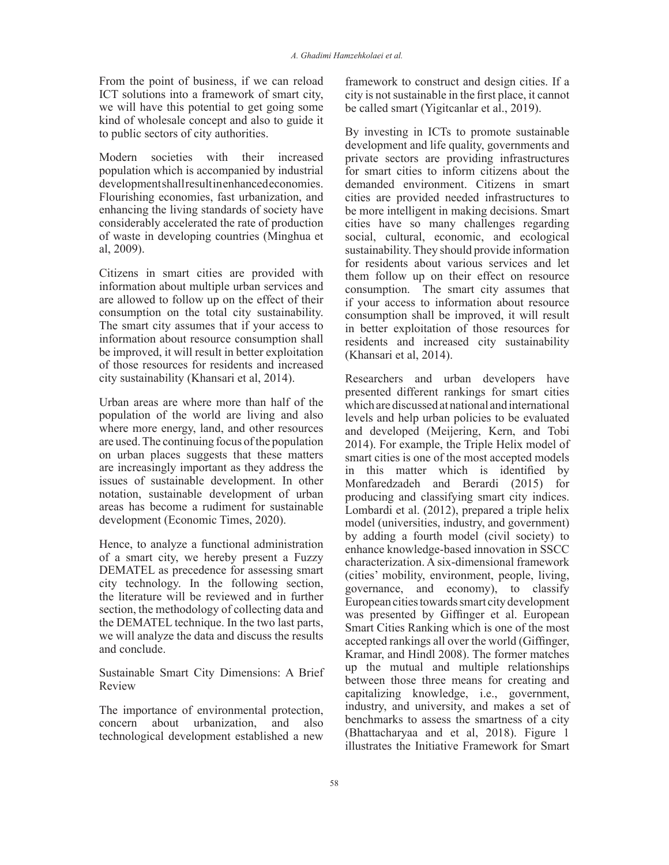From the point of business, if we can reload ICT solutions into a framework of smart city, we will have this potential to get going some kind of wholesale concept and also to guide it to public sectors of city authorities.

Modern societies with their increased population which is accompanied by industrial development shall result in enhanced economies. Flourishing economies, fast urbanization, and enhancing the living standards of society have considerably accelerated the rate of production of waste in developing countries (Minghua et al, 2009).

Citizens in smart cities are provided with information about multiple urban services and are allowed to follow up on the effect of their consumption on the total city sustainability. The smart city assumes that if your access to information about resource consumption shall be improved, it will result in better exploitation of those resources for residents and increased city sustainability (Khansari et al, 2014).

Urban areas are where more than half of the population of the world are living and also where more energy, land, and other resources are used. The continuing focus of the population on urban places suggests that these matters are increasingly important as they address the issues of sustainable development. In other notation, sustainable development of urban areas has become a rudiment for sustainable development (Economic Times, 2020).

Hence, to analyze a functional administration of a smart city, we hereby present a Fuzzy DEMATEL as precedence for assessing smart city technology. In the following section, the literature will be reviewed and in further section, the methodology of collecting data and the DEMATEL technique. In the two last parts, we will analyze the data and discuss the results and conclude.

Sustainable Smart City Dimensions: A Brief Review

The importance of environmental protection, concern about urbanization, and also technological development established a new framework to construct and design cities. If a city is not sustainable in the first place, it cannot be called smart (Yigitcanlar et al., 2019).

By investing in ICTs to promote sustainable development and life quality, governments and private sectors are providing infrastructures for smart cities to inform citizens about the demanded environment. Citizens in smart cities are provided needed infrastructures to be more intelligent in making decisions. Smart cities have so many challenges regarding social, cultural, economic, and ecological sustainability. They should provide information for residents about various services and let them follow up on their effect on resource consumption. The smart city assumes that if your access to information about resource consumption shall be improved, it will result in better exploitation of those resources for residents and increased city sustainability (Khansari et al, 2014).

Researchers and urban developers have presented different rankings for smart cities which are discussed at national and international levels and help urban policies to be evaluated and developed (Meijering, Kern, and Tobi 2014). For example, the Triple Helix model of smart cities is one of the most accepted models in this matter which is identified by Monfaredzadeh and Berardi (2015) for producing and classifying smart city indices. Lombardi et al. (2012), prepared a triple helix model (universities, industry, and government) by adding a fourth model (civil society) to enhance knowledge-based innovation in SSCC characterization. A six-dimensional framework (cities' mobility, environment, people, living, governance, and economy), to classify European cities towards smart city development was presented by Giffinger et al. European Smart Cities Ranking which is one of the most accepted rankings all over the world (Giffinger, Kramar, and Hindl 2008). The former matches up the mutual and multiple relationships between those three means for creating and capitalizing knowledge, i.e., government, industry, and university, and makes a set of benchmarks to assess the smartness of a city (Bhattacharyaa and et al, 2018). Figure 1 illustrates the Initiative Framework for Smart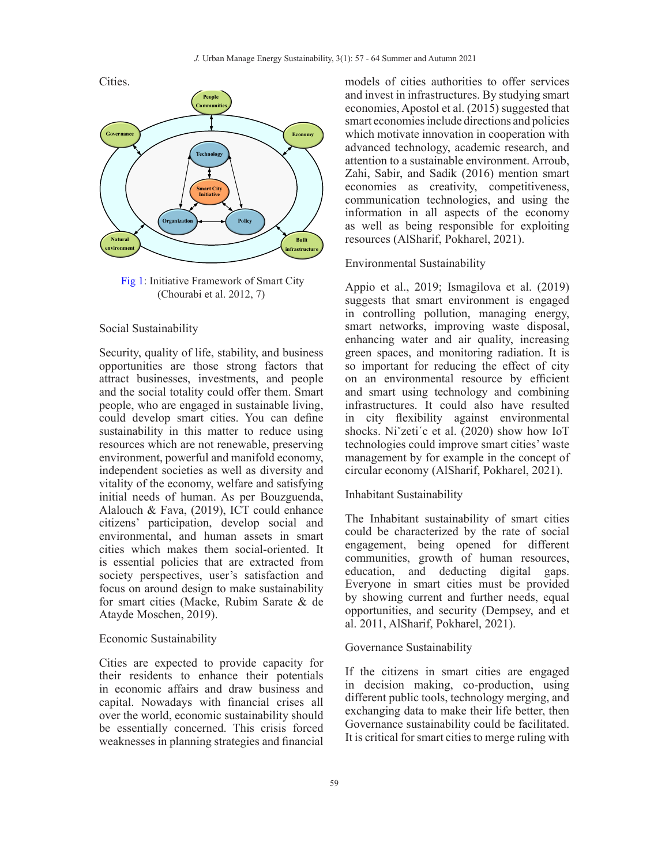Cities.



 Fig 1: Initiative Framework of Smart City (Chourabi et al. 2012, 7)

#### Social Sustainability

Security, quality of life, stability, and business opportunities are those strong factors that attract businesses, investments, and people and the social totality could offer them. Smart people, who are engaged in sustainable living, could develop smart cities. You can define sustainability in this matter to reduce using resources which are not renewable, preserving environment, powerful and manifold economy, independent societies as well as diversity and vitality of the economy, welfare and satisfying initial needs of human. As per Bouzguenda, Alalouch & Fava, (2019), ICT could enhance citizens' participation, develop social and environmental, and human assets in smart cities which makes them social-oriented. It is essential policies that are extracted from society perspectives, user's satisfaction and focus on around design to make sustainability for smart cities (Macke, Rubim Sarate & de Atayde Moschen, 2019).

#### Economic Sustainability

Cities are expected to provide capacity for their residents to enhance their potentials in economic affairs and draw business and capital. Nowadays with financial crises all over the world, economic sustainability should be essentially concerned. This crisis forced weaknesses in planning strategies and financial

models of cities authorities to offer services and invest in infrastructures. By studying smart economies, Apostol et al. (2015) suggested that smart economies include directions and policies which motivate innovation in cooperation with advanced technology, academic research, and attention to a sustainable environment. Arroub, Zahi, Sabir, and Sadik (2016) mention smart economies as creativity, competitiveness, communication technologies, and using the information in all aspects of the economy as well as being responsible for exploiting resources (AlSharif, Pokharel, 2021).

## Environmental Sustainability

Appio et al., 2019; Ismagilova et al. (2019) suggests that smart environment is engaged in controlling pollution, managing energy, smart networks, improving waste disposal, enhancing water and air quality, increasing green spaces, and monitoring radiation. It is so important for reducing the effect of city on an environmental resource by efficient and smart using technology and combining infrastructures. It could also have resulted in city flexibility against environmental shocks. Niˇzeti´c et al. (2020) show how IoT technologies could improve smart cities' waste management by for example in the concept of circular economy (AlSharif, Pokharel, 2021).

### Inhabitant Sustainability

The Inhabitant sustainability of smart cities could be characterized by the rate of social engagement, being opened for different communities, growth of human resources, education, and deducting digital gaps. Everyone in smart cities must be provided by showing current and further needs, equal opportunities, and security (Dempsey, and et al. 2011, AlSharif, Pokharel, 2021).

#### Governance Sustainability

If the citizens in smart cities are engaged in decision making, co-production, using different public tools, technology merging, and exchanging data to make their life better, then Governance sustainability could be facilitated. It is critical for smart cities to merge ruling with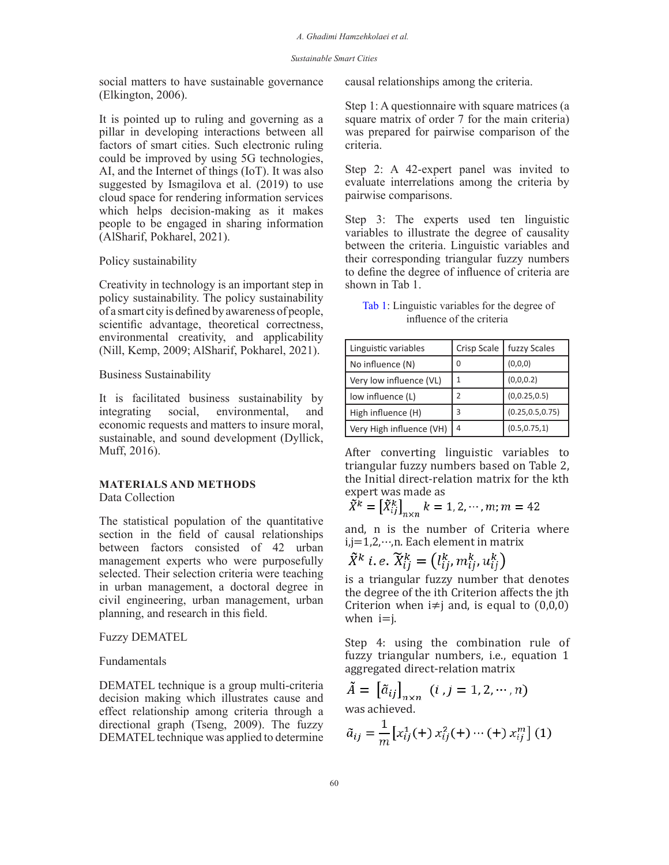social matters to have sustainable governance (Elkington, 2006).

It is pointed up to ruling and governing as a pillar in developing interactions between all factors of smart cities. Such electronic ruling could be improved by using 5G technologies, AI, and the Internet of things (IoT). It was also suggested by Ismagilova et al. (2019) to use cloud space for rendering information services which helps decision-making as it makes people to be engaged in sharing information (AlSharif, Pokharel, 2021).

#### Policy sustainability

Creativity in technology is an important step in policy sustainability. The policy sustainability of a smart city is defined by awareness of people, scientific advantage, theoretical correctness, environmental creativity, and applicability (Nill, Kemp, 2009; AlSharif, Pokharel, 2021).

## Business Sustainability

It is facilitated business sustainability by integrating social, environmental, and economic requests and matters to insure moral, sustainable, and sound development (Dyllick, Muff, 2016).

#### **MATERIALS AND METHODS**  Data Collection

The statistical population of the quantitative section in the field of causal relationships between factors consisted of 42 urban management experts who were purposefully selected. Their selection criteria were teaching in urban management, a doctoral degree in civil engineering, urban management, urban planning, and research in this field.

#### Fuzzy DEMATEL

#### Fundamentals

DEMATEL technique is a group multi-criteria decision making which illustrates cause and effect relationship among criteria through a directional graph (Tseng, 2009). The fuzzy DEMATEL technique was applied to determine

causal relationships among the criteria.

Step 1: A questionnaire with square matrices (a square matrix of order 7 for the main criteria) was prepared for pairwise comparison of the criteria.

Step 2: A 42-expert panel was invited to evaluate interrelations among the criteria by pairwise comparisons.

Step 3: The experts used ten linguistic variables to illustrate the degree of causality between the criteria. Linguistic variables and their corresponding triangular fuzzy numbers to define the degree of influence of criteria are shown in Tab 1.

| Tab 1: Linguistic variables for the degree of |  |
|-----------------------------------------------|--|
| influence of the criteria                     |  |

| Linguistic variables     | Crisp Scale | fuzzy Scales      |
|--------------------------|-------------|-------------------|
| No influence (N)         | 0           | (0,0,0)           |
| Very low influence (VL)  |             | (0,0,0.2)         |
| low influence (L)        |             | (0, 0.25, 0.5)    |
| High influence (H)       | ξ           | (0.25, 0.5, 0.75) |
| Very High influence (VH) | 4           | (0.5, 0.75, 1)    |

After converting linguistic variables to triangular fuzzy numbers based on Table 2, the Initial direct-relation matrix for the kth expert was made as

$$
\widetilde{X}^{\widetilde{k}} = \left[ \widetilde{X}_{ij}^{k} \right]_{n \times n} k = 1, 2, \cdots, m; m = 42
$$

and, n is the number of Criteria where i,j=1,2,⋯,n. Each element in matrix

$$
\tilde{X}^k \ i.e. \ \tilde{X}_{ij}^k = \left(l_{ij}^k, m_{ij}^k, u_{ij}^k\right)
$$

is a triangular fuzzy number that denotes the degree of the ith Criterion affects the jth Criterion when  $i\neq j$  and, is equal to  $(0,0,0)$ when  $i=j$ .

Step 4: using the combination rule of fuzzy triangular numbers, i.e., equation 1 aggregated direct-relation matrix

$$
\tilde{A} = [\tilde{a}_{ij}]_{n \times n} \quad (i, j = 1, 2, \cdots, n)
$$
  
was achieved

was achieved.

$$
\tilde{a}_{ij} = \frac{1}{m} \left[ x_{ij}^1(+) \, x_{ij}^2(+) \cdots (+) \, x_{ij}^m \right] (1)
$$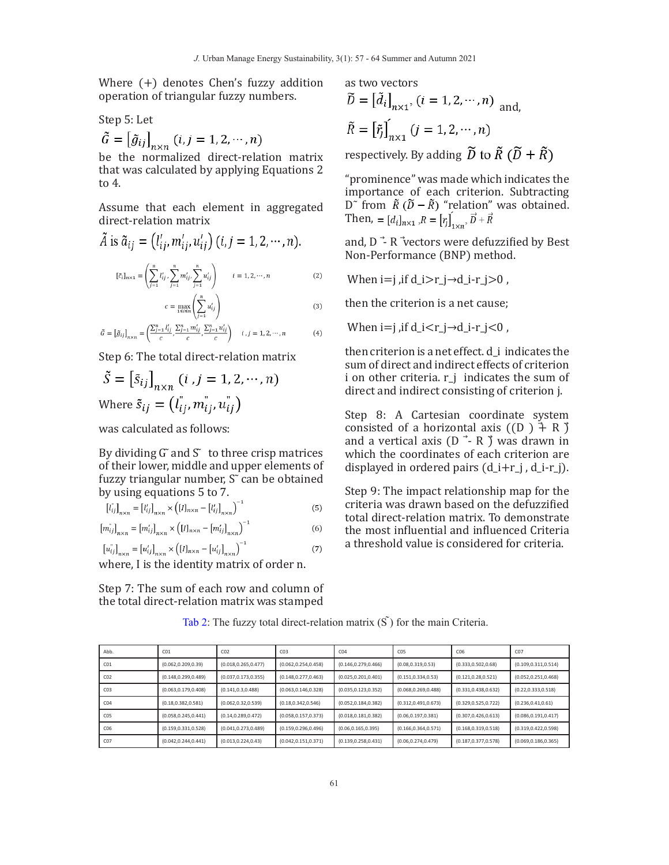Where (+) denotes Chen's fuzzy addition operation of triangular fuzzy numbers.

Step 5: Let  $\tilde{G} = \left[\tilde{g}_{ij}\right]_{n\times n} (i,j=1,2,\cdots,n)$ 

be the normalized direct-relation matrix that was calculated by applying Equations 2 to 4.

Assume that each element in aggregated direct-relation matrix

$$
\tilde{A} \text{ is } \tilde{a}_{ij} = (l'_{ij}, m'_{ij}, u'_{ij}) \ (i, j = 1, 2, \cdots, n).
$$
\n
$$
[e_{i}]_{n \times 1} = \left( \sum_{j=1}^{n} l'_{ij} \sum_{j=1}^{n} m'_{ij} \sum_{j=1}^{n} u'_{ij} \right) \qquad i = 1, 2, \cdots, n \tag{2}
$$

$$
c = \max_{1 \le i \le n} \left( \sum_{j=1}^{n} u'_{ij} \right) \tag{3}
$$

$$
\tilde{G} = \left[\tilde{g}_{ij}\right]_{n \times n} = \left(\frac{\sum_{j=1}^{n} l'_{ij}}{c}, \frac{\sum_{j=1}^{n} m'_{ij}}{c}, \frac{\sum_{j=1}^{n} u'_{ij}}{c}\right) \quad i, j = 1, 2, \cdots, n
$$
 (4)

Step 6: The total direct-relation matrix

$$
\tilde{S} = \begin{bmatrix} \tilde{s}_{ij} \end{bmatrix}_{n \times n} (i, j = 1, 2, \cdots, n)
$$
  
Where  $\tilde{s}_{ij} = (l_{ij}^*, m_{ij}^*, u_{ij}^*)$ 

was calculated as follows:

By dividing  $G$  and  $S$  to three crisp matrices of their lower, middle and upper elements of fuzzy triangular number,  $S<sup>2</sup>$  can be obtained by using equations 5 to 7.

$$
\left[l_{ij}^*\right]_{n\times n} = \left[l_{ij}^{\prime}\right]_{n\times n} \times \left(\left[l\right]_{n\times n} - \left[l_{ij}^{\prime}\right]_{n\times n}\right)^{-1} \tag{5}
$$

$$
[m_{ij}^{\dagger}]_{n \times n} = [m_{ij}^{\prime}]_{n \times n} \times ( [I]_{n \times n} - [m_{ij}^{\prime}]_{n \times n})^{-1}
$$
 (6)

$$
[u_{ij}^{\dagger}]_{n \times n} = [u_{ij}^{\dagger}]_{n \times n} \times ([I]_{n \times n} - [u_{ij}^{\dagger}]_{n \times n})^{-1}
$$
 (7)

where, I is the identity matrix of order n.

Step 7: The sum of each row and column of the total direct-relation matrix was stamped as two vectors  $\widetilde{D} = [\widetilde{d}_i]_{n \times 1}$ ,  $(i = 1, 2, \cdots, n)$  and  $\tilde{R} = \left[\tilde{r}_j\right]_{n \times 1} (j = 1, 2, \cdots, n)$ respectively. By adding  $\widetilde{D}$  to  $\widetilde{R}$  ( $\widetilde{D}$  +  $\widetilde{R}$ )

"prominence" was made which indicates the importance of each criterion. Subtracting D<sup> $\sim$ </sup> from  $\tilde{R}$  ( $\tilde{D} - \tilde{R}$ ) "relation" was obtained. Then,  $=[d_i]_{n\times 1}$ ,  $R=[r_i]_{1\times n}$ ,  $\vec{D}+\vec{R}$ 

and,  $D \rightharpoonup R$  vectors were defuzzified by Best Non-Performance (BNP) method.

When  $i=j$ , if  $d_i>r_j\rightarrow d_i-r_j>0$ ,

then the criterion is a net cause;

When  $i=j$ , if  $d_i < r_j \rightarrow d_i - r_j < 0$ ,

then criterion is a net effect. d\_i indicates the sum of direct and indirect effects of criterion i on other criteria. r\_j indicates the sum of direct and indirect consisting of criterion j.

Step 8: A Cartesian coordinate system consisted of a horizontal axis  $((D) \nightharpoonup R)$ and a vertical axis ( $D \rightarrow R \$ ) was drawn in which the coordinates of each criterion are displayed in ordered pairs  $(d_i+r_j, d_i-r_j)$ .

Step 9: The impact relationship map for the criteria was drawn based on the defuzzified total direct-relation matrix. To demonstrate the most influential and influenced Criteria a threshold value is considered for criteria.

| Abb.            | CO <sub>1</sub>       | CO <sub>2</sub>       | CO <sub>3</sub>       | CO <sub>4</sub>       | C <sub>05</sub>       | CO6                   | C <sub>07</sub>       |
|-----------------|-----------------------|-----------------------|-----------------------|-----------------------|-----------------------|-----------------------|-----------------------|
| CO <sub>1</sub> | (0.062, 0.209, 0.39)  | (0.018, 0.265, 0.477) | (0.062, 0.254, 0.458) | (0.146, 0.279, 0.466) | (0.08, 0.319, 0.53)   | (0.333, 0.502, 0.68)  | (0.109, 0.311, 0.514) |
| CO <sub>2</sub> | (0.148, 0.299, 0.489) | (0.037, 0.173, 0.355) | (0.148, 0.277, 0.463) | (0.025, 0.201, 0.401) | (0.151, 0.334, 0.53)  | (0.121, 0.28, 0.521)  | (0.052, 0.251, 0.468) |
| CO <sub>3</sub> | (0.063, 0.179, 0.408) | (0.141, 0.3, 0.488)   | (0.063, 0.146, 0.328) | (0.035, 0.123, 0.352) | (0.068, 0.269, 0.488) | (0.331, 0.438, 0.632) | (0.22, 0.333, 0.518)  |
| CO <sub>4</sub> | (0.18, 0.382, 0.581)  | (0.062, 0.32, 0.539)  | (0.18, 0.342, 0.546)  | (0.052, 0.184, 0.382) | (0.312, 0.491, 0.673) | (0.329, 0.525, 0.722) | (0.236, 0.41, 0.61)   |
| C <sub>05</sub> | (0.058, 0.245, 0.441) | (0.14, 0.289, 0.472)  | (0.058, 0.157, 0.373) | (0.018, 0.181, 0.382) | (0.06, 0.197, 0.381)  | (0.307, 0.426, 0.613) | (0.086, 0.191, 0.417) |
| CO <sub>6</sub> | (0.159, 0.331, 0.528) | (0.041, 0.273, 0.489) | (0.159, 0.296, 0.496) | (0.06, 0.165, 0.395)  | (0.166, 0.364, 0.571) | (0.168, 0.319, 0.518) | (0.319, 0.422, 0.598) |
| C <sub>07</sub> | (0.042, 0.244, 0.441) | (0.013, 0.224, 0.43)  | (0.042, 0.151, 0.371) | (0.139, 0.258, 0.431) | (0.06, 0.274, 0.479)  | (0.187, 0.377, 0.578) | (0.069, 0.186, 0.365) |

Tab 2: The fuzzy total direct-relation matrix  $(S<sup>5</sup>)$  for the main Criteria.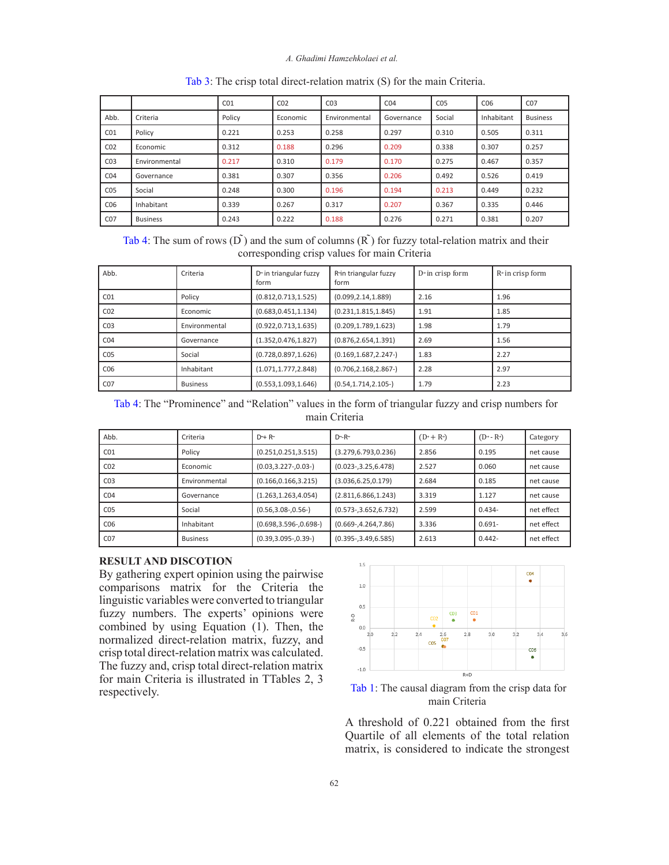#### *A. Ghadimi Hamzehkolaei et al.*

|                 |                 | CO <sub>1</sub> | CO <sub>2</sub> | CO <sub>3</sub> | CO <sub>4</sub> | CO <sub>5</sub> | C <sub>06</sub> | CO <sub>7</sub> |
|-----------------|-----------------|-----------------|-----------------|-----------------|-----------------|-----------------|-----------------|-----------------|
| Abb.            | Criteria        | Policy          | Economic        | Environmental   | Governance      | Social          | Inhabitant      | <b>Business</b> |
| CO <sub>1</sub> | Policy          | 0.221           | 0.253           | 0.258           | 0.297           | 0.310           | 0.505           | 0.311           |
| CO <sub>2</sub> | Economic        | 0.312           | 0.188           | 0.296           | 0.209           | 0.338           | 0.307           | 0.257           |
| CO <sub>3</sub> | Environmental   | 0.217           | 0.310           | 0.179           | 0.170           | 0.275           | 0.467           | 0.357           |
| CO <sub>4</sub> | Governance      | 0.381           | 0.307           | 0.356           | 0.206           | 0.492           | 0.526           | 0.419           |
| CO <sub>5</sub> | Social          | 0.248           | 0.300           | 0.196           | 0.194           | 0.213           | 0.449           | 0.232           |
| CO6             | Inhabitant      | 0.339           | 0.267           | 0.317           | 0.207           | 0.367           | 0.335           | 0.446           |
| C <sub>07</sub> | <b>Business</b> | 0.243           | 0.222           | 0.188           | 0.276           | 0.271           | 0.381           | 0.207           |

Tab 3: The crisp total direct-relation matrix (S) for the main Criteria.

Tab 4: The sum of rows  $(D^{\tilde{}})$  and the sum of columns  $(R^{\tilde{}})$  for fuzzy total-relation matrix and their corresponding crisp values for main Criteria

| Abb.            | Criteria        | D <sup>-</sup> in triangular fuzzy<br>form | R-in triangular fuzzy<br>form | $D^{\prime}$ in crisp form | $R3$ in crisp form |
|-----------------|-----------------|--------------------------------------------|-------------------------------|----------------------------|--------------------|
| CO <sub>1</sub> | Policy          | (0.812, 0.713, 1.525)                      | (0.099, 2.14, 1.889)          | 2.16                       | 1.96               |
| CO <sub>2</sub> | Economic        | (0.683, 0.451, 1.134)                      | (0.231, 1.815, 1.845)         | 1.91                       | 1.85               |
| CO <sub>3</sub> | Environmental   | (0.922, 0.713, 1.635)                      | (0.209, 1.789, 1.623)         | 1.98                       | 1.79               |
| CO <sub>4</sub> | Governance      | (1.352, 0.476, 1.827)                      | (0.876, 2.654, 1.391)         | 2.69                       | 1.56               |
| CO <sub>5</sub> | Social          | (0.728, 0.897, 1.626)                      | (0.169, 1.687, 2.247)         | 1.83                       | 2.27               |
| C <sub>06</sub> | Inhabitant      | (1.071, 1.777, 2.848)                      | (0.706, 2.168, 2.867)         | 2.28                       | 2.97               |
| CO <sub>7</sub> | <b>Business</b> | (0.553, 1.093, 1.646)                      | (0.54, 1.714, 2.105)          | 1.79                       | 2.23               |

 Tab 4: The "Prominence" and "Relation" values in the form of triangular fuzzy and crisp numbers for main Criteria

| Abb.            | Criteria        | $D^{\sim}$ + R $\sim$     | $D^{\sim}$ -R $\sim$     | $(D+R)$ | $(D^{\rightarrow} - R^{\rightarrow})$ | Category   |
|-----------------|-----------------|---------------------------|--------------------------|---------|---------------------------------------|------------|
| CO <sub>1</sub> | Policy          | (0.251, 0.251, 3.515)     | (3.279, 6.793, 0.236)    | 2.856   | 0.195                                 | net cause  |
| CO <sub>2</sub> | Economic        | (0.03, 3.227, 0.03)       | $(0.023 - 3.25, 6.478)$  | 2.527   | 0.060                                 | net cause  |
| CO <sub>3</sub> | Environmental   | (0.166, 0.166, 3.215)     | (3.036, 6.25, 0.179)     | 2.684   | 0.185                                 | net cause  |
| CO <sub>4</sub> | Governance      | (1.263, 1.263, 4.054)     | (2.811, 6.866, 1.243)    | 3.319   | 1.127                                 | net cause  |
| CO <sub>5</sub> | Social          | (0.56, 3.08, 0.56)        | $(0.573 - 3.652, 6.732)$ | 2.599   | $0.434 -$                             | net effect |
| C <sub>06</sub> | Inhabitant      | $(0.698, 3.596-, 0.698-)$ | $(0.669 - 4.264, 7.86)$  | 3.336   | $0.691 -$                             | net effect |
| CO <sub>7</sub> | <b>Business</b> | (0.39, 3.095, 0.39)       | $(0.395 - 3.49, 6.585)$  | 2.613   | $0.442 -$                             | net effect |

## **RESULT AND DISCOTION**

By gathering expert opinion using the pairwise comparisons matrix for the Criteria the linguistic variables were converted to triangular fuzzy numbers. The experts' opinions were combined by using Equation (1). Then, the normalized direct-relation matrix, fuzzy, and crisp total direct-relation matrix was calculated. The fuzzy and, crisp total direct-relation matrix for main Criteria is illustrated in TTables 2, 3 respectively.



 Tab 1: The causal diagram from the crisp data for main Criteria

A threshold of 0.221 obtained from the first Quartile of all elements of the total relation matrix, is considered to indicate the strongest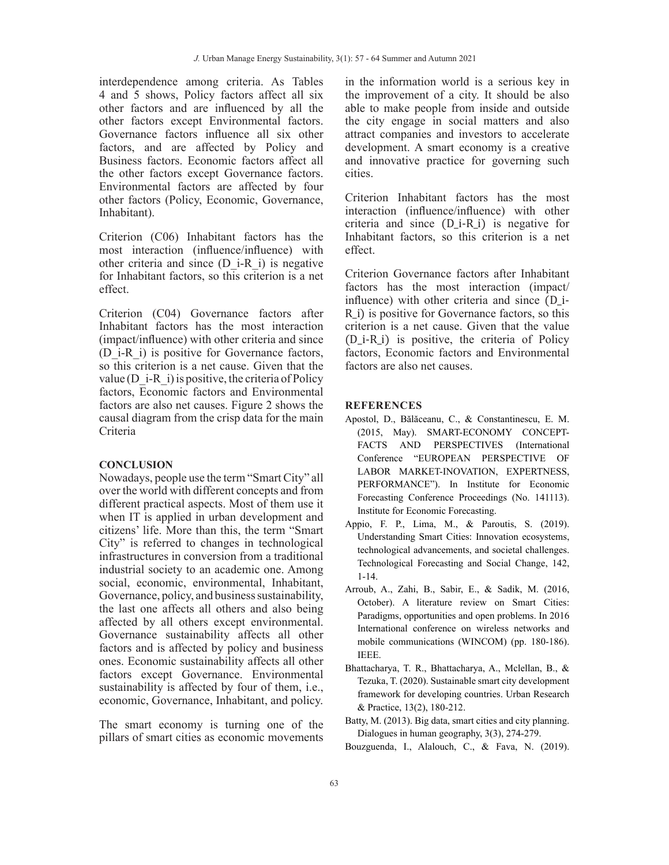interdependence among criteria. As Tables 4 and 5 shows, Policy factors affect all six other factors and are influenced by all the other factors except Environmental factors. Governance factors influence all six other factors, and are affected by Policy and Business factors. Economic factors affect all the other factors except Governance factors. Environmental factors are affected by four other factors (Policy, Economic, Governance, Inhabitant).

Criterion (C06) Inhabitant factors has the most interaction (influence/influence) with other criteria and since  $(D_i - R_i)$  is negative for Inhabitant factors, so this criterion is a net effect.

Criterion (C04) Governance factors after Inhabitant factors has the most interaction (impact/influence) with other criteria and since (D\_i-R\_i) is positive for Governance factors, so this criterion is a net cause. Given that the value ( $D$  i-R i) is positive, the criteria of Policy factors, Economic factors and Environmental factors are also net causes. Figure 2 shows the causal diagram from the crisp data for the main Criteria

#### **CONCLUSION**

Nowadays, people use the term "Smart City" all over the world with different concepts and from different practical aspects. Most of them use it when IT is applied in urban development and citizens' life. More than this, the term "Smart City" is referred to changes in technological infrastructures in conversion from a traditional industrial society to an academic one. Among social, economic, environmental, Inhabitant, Governance, policy, and business sustainability, the last one affects all others and also being affected by all others except environmental. Governance sustainability affects all other factors and is affected by policy and business ones. Economic sustainability affects all other factors except Governance. Environmental sustainability is affected by four of them, i.e., economic, Governance, Inhabitant, and policy.

The smart economy is turning one of the pillars of smart cities as economic movements in the information world is a serious key in the improvement of a city. It should be also able to make people from inside and outside the city engage in social matters and also attract companies and investors to accelerate development. A smart economy is a creative and innovative practice for governing such cities.

Criterion Inhabitant factors has the most interaction (influence/influence) with other criteria and since (D\_i-R\_i) is negative for Inhabitant factors, so this criterion is a net effect.

Criterion Governance factors after Inhabitant factors has the most interaction (impact/ influence) with other criteria and since (D\_i-R\_i) is positive for Governance factors, so this criterion is a net cause. Given that the value (D\_i-R\_i) is positive, the criteria of Policy factors, Economic factors and Environmental factors are also net causes.

#### **REFERENCES**

- Apostol, D., Bălăceanu, C., & Constantinescu, E. M. (2015, May). SMART-ECONOMY CONCEPT-FACTS AND PERSPECTIVES (International Conference "EUROPEAN PERSPECTIVE OF LABOR MARKET-INOVATION, EXPERTNESS, PERFORMANCE"). In Institute for Economic Forecasting Conference Proceedings (No. 141113). Institute for Economic Forecasting.
- Appio, F. P., Lima, M., & Paroutis, S. (2019). Understanding Smart Cities: Innovation ecosystems, technological advancements, and societal challenges. Technological Forecasting and Social Change, 142, 1-14.
- Arroub, A., Zahi, B., Sabir, E., & Sadik, M. (2016, October). A literature review on Smart Cities: Paradigms, opportunities and open problems. In 2016 International conference on wireless networks and mobile communications (WINCOM) (pp. 180-186). IEEE.
- Bhattacharya, T. R., Bhattacharya, A., Mclellan, B., & Tezuka, T. (2020). Sustainable smart city development framework for developing countries. Urban Research & Practice, 13(2), 180-212.
- Batty, M. (2013). Big data, smart cities and city planning. Dialogues in human geography, 3(3), 274-279.
- Bouzguenda, I., Alalouch, C., & Fava, N. (2019).